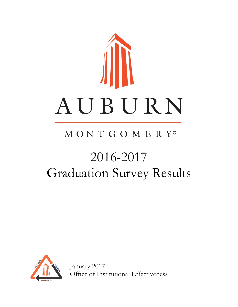

# MONTGOMERY®

# 2016-2017 Graduation Survey Results



January 2017 Office of Institutional Effectiveness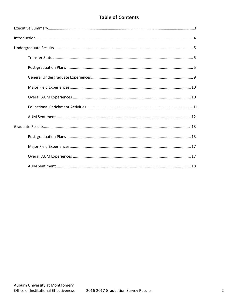# **Table of Contents**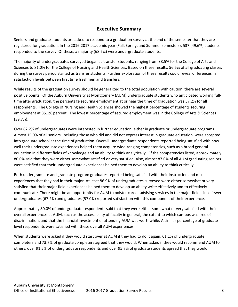### **Executive Summary**

Seniors and graduate students are asked to respond to a graduation survey at the end of the semester that they are registered for graduation. In the 2016-2017 academic year (Fall, Spring, and Summer semesters), 537 (49.6%) students responded to the survey. Of these, a majority (68.5%) were undergraduate students.

The majority of undergraduates surveyed began as transfer students, ranging from 38.5% for the College of Arts and Sciences to 81.0% for the College of Nursing and Health Sciences. Based on these results, 56.5% of all graduating classes during the survey period started as transfer students. Further exploration of these results could reveal differences in satisfaction levels between first time freshmen and transfers.

While results of the graduation survey should be generalized to the total population with caution, there are several positive points. Of the Auburn University at Montgomery (AUM) undergraduate students who anticipated working fulltime after graduation, the percentage securing employment at or near the time of graduation was 57.2% for all respondents. The College of Nursing and Health Sciences showed the highest percentage of students securing employment at 85.1% percent. The lowest percentage of secured employment was in the College of Arts & Sciences (39.7%).

Over 62.2% of undergraduates were interested in further education, either in graduate or undergraduate programs. Almost 15.0% of all seniors, including those who did and did not express interest in graduate education, were accepted into graduate school at the time of graduation. Overall, undergraduate respondents reported being satisfied with how well their undergraduate experiences helped them acquire wide-ranging competencies, such as a broad general education in different fields of knowledge and an ability to think analytically. Of the competencies listed, approximately 80.0% said that they were either somewhat satisfied or very satisfied. Also, almost 87.0% of all AUM graduating seniors were satisfied that their undergraduate experiences helped them to develop an ability to think critically.

Both undergraduate and graduate program graduates reported being satisfied with their instruction and most experiences that they had in their major. At least 86.9% of undergraduates surveyed were either somewhat or very satisfied that their major field experiences helped them to develop an ability write effectively and to effectively communicate. There might be an opportunity for AUM to bolster career advising services in the major field, since fewer undergraduates (67.2%) and graduates (57.0%) reported satisfaction with this component of their experience.

Approximately 80.0% of undergraduate respondents said that they were either somewhat or very satisfied with their overall experiences at AUM, such as the accessibility of faculty in general, the extent to which campus was free of discrimination, and that the financial investment of attending AUM was worthwhile. A similar percentage of graduate level respondents were satisfied with these overall AUM experiences.

When students were asked if they would start over at AUM if they had to do it again, 61.1% of undergraduate completers and 73.7% of graduate completers agreed that they would. When asked if they would recommend AUM to others, over 91.5% of undergraduate respondents and over 95.7% of graduate students agreed that they would.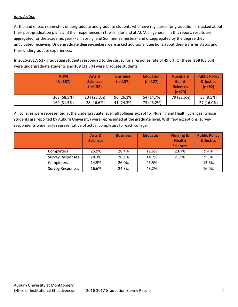#### *Introduction*

At the end of each semester, undergraduate and graduate students who have registered for graduation are asked about their post-graduation plans and their experiences in their major and at AUM, in general. In this report, results are aggregated for the academic year (Fall, Spring, and Summer semesters) and disaggregated by the degree they anticipated receiving. Undergraduate degree-seekers were asked additional questions about their transfer status and their undergraduate experiences.

In 2016-2017, 537 graduating students responded to the survey for a response rate of 49.6%. Of these, **368** (68.5%) were undergraduate students and **169** (31.5%) were graduate students.

| <b>AUM</b><br>$(N=537)$ | Arts &<br><b>Sciences</b><br>$(n=132)$ | <b>Business</b><br>$(n=137)$ | <b>Education</b><br>$(n=127)$ | <b>Nursing &amp;</b><br><b>Health</b><br><b>Sciences</b><br>$(n=79)$ | <b>Public Policy</b><br>& Justice<br>$(n=62)$ |
|-------------------------|----------------------------------------|------------------------------|-------------------------------|----------------------------------------------------------------------|-----------------------------------------------|
| 368 (68.5%)             | 104 (28.3%)                            | 96 (26.1%)                   | 54 (14.7%)                    | 79 (21.5%)                                                           | 35 (9.5%)                                     |
| 169 (31.5%)             | 28 (16.6%)                             | 41 (24.3%)                   | 73 (43.2%)                    |                                                                      | 27 (16.0%)                                    |

All colleges were represented at the undergraduate level; all colleges except for Nursing and Health Sciences (whose students are reported by Auburn University) were represented at the graduate level. With few exceptions, survey respondents were fairly representative of actual completers for each college.

|                         | Arts &<br><b>Sciences</b> | <b>Business</b> | <b>Education</b> | <b>Nursing &amp;</b><br><b>Health</b><br><b>Sciences</b> | <b>Public Policy</b><br>& Justice |
|-------------------------|---------------------------|-----------------|------------------|----------------------------------------------------------|-----------------------------------|
| Completers              | 25.9%                     | 28.4%           | 12.6%            | 23.7%                                                    | 9.4%                              |
| <b>Survey Responses</b> | 28.3%                     | 26.1%           | 14.7%            | 21.5%                                                    | 9.5%                              |
| Completers              | 14.9%                     | 26.0%           | 45.5%            |                                                          | 13.6%                             |
| <b>Survey Responses</b> | 16.6%                     | 24.3%           | 43.2%            |                                                          | 16.0%                             |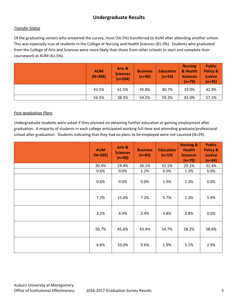# **Undergraduate Results**

#### *Transfer Status*

Of the graduating seniors who answered the survey, most (56.5%) transferred to AUM after attending another school. This was especially true of students in the College of Nursing and Health Sciences (81.0%). Students who graduated from the College of Arts and Sciences were more likely than those from other schools to start and complete their coursework at AUM (61.5%).

| <b>AUM</b><br>$(N=368)$ | Arts &<br><b>Sciences</b><br>$(n=104)$ | <b>Business</b><br>$(n=96)$ | <b>Education</b><br>$(n=54)$ | <b>Nursing</b><br>& Health<br><b>Sciences</b><br>$(n=79)$ | <b>Public</b><br>Policy &<br><b>Justice</b><br>$(n=35)$ |
|-------------------------|----------------------------------------|-----------------------------|------------------------------|-----------------------------------------------------------|---------------------------------------------------------|
| 43.5%                   | 61.5%                                  | 45.8%                       | 40.7%                        | 19.0%                                                     | 42.9%                                                   |
| 56.5%                   | 38.5%                                  | 54.2%                       | 59.3%                        | 81.0%                                                     | 57.1%                                                   |

#### *Post-graduation Plans*

Undergraduate students were asked if they planned on obtaining further education or gaining employment after graduation. A majority of students in each college anticipated working full-time and attending graduate/professional school after graduation. Students indicating that they had no plans to be employed were not counted (N=29).

| <b>AUM</b><br>$(N=339)$ | Arts &<br><b>Sciences</b><br>$(n=90)$ | <b>Business</b><br>$(n=83)$ | <b>Education</b><br>$(n=53)$ | <b>Nursing &amp;</b><br><b>Health</b><br><b>Sciences</b><br>$(n=79)$ | <b>Public</b><br><b>Policy &amp;</b><br><b>Justice</b><br>$(n=34)$ |
|-------------------------|---------------------------------------|-----------------------------|------------------------------|----------------------------------------------------------------------|--------------------------------------------------------------------|
| 30.4%                   | 24.4%                                 | 36.1%                       | 32.1%                        | 29.1%                                                                | 32.4%                                                              |
| 0.6%                    | 0.0%                                  | 1.2%                        | 0.0%                         | 1.3%                                                                 | 0.0%                                                               |
| 0.6%                    | 0.0%                                  | 0.0%                        | 1.9%                         | 1.3%                                                                 | 0.0%                                                               |
| 7.7%                    | 15.6%                                 | 7.2%                        | 5.7%                         | 1.3%                                                                 | 5.9%                                                               |
| 3.2%                    | 4.4%                                  | 2.4%                        | 3.8%                         | 3.8%                                                                 | 0.0%                                                               |
| 50.7%                   | 45.6%                                 | 43.4%                       | 54.7%                        | 58.2%                                                                | 58.8%                                                              |
| 6.8%                    | 10.0%                                 | 9.6%                        | 1.9%                         | 5.1%                                                                 | 2.9%                                                               |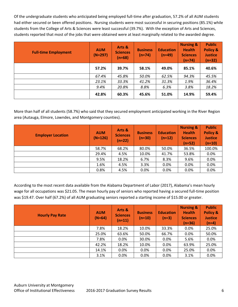Of the undergraduate students who anticipated being employed full-time after graduation, 57.2% of all AUM students had either secured or been offered positions. Nursing students were most successful in securing positions (85.1%) while students from the College of Arts & Sciences were least successful (39.7%). With the exception of Arts and Sciences, students reported that most of the jobs that were obtained were at least marginally related to the awarded degree.

| <b>Full-time Employment</b> | <b>AUM</b><br>$(N=297)$ | Arts &<br><b>Sciences</b><br>$(n=68)$ | <b>Business</b><br>$(n=74)$ | <b>Education</b><br>$(n=49)$ | <b>Nursing &amp;</b><br><b>Health</b><br><b>Sciences</b><br>$(n=74)$ | <b>Public</b><br>Policy &<br><b>Justice</b><br>$(n=32)$ |
|-----------------------------|-------------------------|---------------------------------------|-----------------------------|------------------------------|----------------------------------------------------------------------|---------------------------------------------------------|
|                             | 57.2%                   | 39.7%                                 | 58.1%                       | 49.0%                        | 85.1%                                                                | 40.6%                                                   |
|                             | 67.4%                   | 45.8%                                 | 50.0%                       | 62.5%                        | 94.3%                                                                | 45.5%                                                   |
|                             | 23.1%                   | 33.3%                                 | 41.2%                       | 31.3%                        | 1.9%                                                                 | 36.4%                                                   |
|                             | 9.4%                    | 20.8%                                 | 8.8%                        | 6.3%                         | 3.8%                                                                 | 18.2%                                                   |
|                             | 42.8%                   | 60.3%                                 | 45.6%                       | 51.0%                        | 14.9%                                                                | 59.4%                                                   |

More than half of all students (58.7%) who said that they secured employment anticipated working in the River Region area (Autauga, Elmore, Lowndes, and Montgomery counties).

| <b>Employer Location</b> | <b>AUM</b><br>$(N=126)$ | Arts &<br><b>Sciences</b><br>$(n=22)$ | <b>Business</b><br>$(n=30)$ | <b>Education</b><br>$(n=12)$ | <b>Nursing &amp;</b><br><b>Health</b><br><b>Sciences</b><br>$(n=52)$ | <b>Public</b><br><b>Policy &amp;</b><br><b>Justice</b><br>$(n=10)$ |
|--------------------------|-------------------------|---------------------------------------|-----------------------------|------------------------------|----------------------------------------------------------------------|--------------------------------------------------------------------|
|                          | 58.7%                   | 68.2%                                 | 80.0%                       | 50.0%                        | 36.5%                                                                | 100.0%                                                             |
|                          | 29.4%                   | 4.5%                                  | 10.0%                       | 41.7%                        | 53.8%                                                                | 0.0%                                                               |
|                          | 9.5%                    | 18.2%                                 | 6.7%                        | 8.3%                         | 9.6%                                                                 | 0.0%                                                               |
|                          | 1.6%                    | 4.5%                                  | 3.3%                        | 0.0%                         | 0.0%                                                                 | 0.0%                                                               |
|                          | 0.8%                    | 4.5%                                  | 0.0%                        | 0.0%                         | 0.0%                                                                 | 0.0%                                                               |

According to the most recent data available from the Alabama Department of Labor (2017), Alabama's mean hourly wage for all occupations was \$21.05. The mean hourly pay of seniors who reported having a secured full-time position was \$19.47. Over half (67.2%) of all AUM graduating seniors reported a starting income of \$15.00 or greater.

| <b>Hourly Pay Rate</b> | <b>AUM</b><br>$(N=64)$ | Arts &<br><b>Sciences</b><br>$(n=11)$ | <b>Business</b><br>$(n=10)$ | <b>Education</b><br>$(n=3)$ | <b>Nursing &amp;</b><br><b>Health</b><br><b>Sciences</b><br>$(n=36)$ | <b>Public</b><br><b>Policy &amp;</b><br><b>Justice</b><br>$(n=4)$ |
|------------------------|------------------------|---------------------------------------|-----------------------------|-----------------------------|----------------------------------------------------------------------|-------------------------------------------------------------------|
|                        | 7.8%                   | 18.2%                                 | 10.0%                       | 33.3%                       | 0.0%                                                                 | 25.0%                                                             |
|                        | 25.0%                  | 63.6%                                 | 50.0%                       | 66.7%                       | 0.0%                                                                 | 50.0%                                                             |
|                        | 7.8%                   | 0.0%                                  | 30.0%                       | 0.0%                        | 5.6%                                                                 | 0.0%                                                              |
|                        | 42.2%                  | 18.2%                                 | 10.0%                       | 0.0%                        | 63.9%                                                                | 25.0%                                                             |
|                        | 14.1%                  | 0.0%                                  | $0.0\%$                     | 0.0%                        | 25.0%                                                                | 0.0%                                                              |
|                        | 3.1%                   | 0.0%                                  | 0.0%                        | 0.0%                        | 3.1%                                                                 | 0.0%                                                              |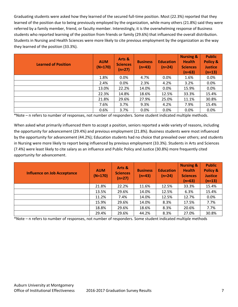Graduating students were asked how they learned of the secured full-time position. Most (22.3%) reported that they learned of the position due to being previously employed by the organization, while many others (21.8%) said they were referred by a family member, friend, or faculty member. Interestingly, it is the overwhelming response of Business students who reported learning of the position from friends or family (29.6%) that influenced the overall distribution. Students in Nursing and Health Sciences were more likely to cite previous employment by the organization as the way they learned of the position (33.3%).

| <b>Learned of Position</b> | <b>AUM</b><br>$(N=170)$ | Arts &<br><b>Sciences</b><br>$(n=27)$ | <b>Business</b><br>$(n=43)$ | <b>Education</b><br>$(n=24)$ | <b>Nursing &amp;</b><br><b>Health</b><br><b>Sciences</b><br>$(n=63)$ | <b>Public</b><br><b>Policy &amp;</b><br><b>Justice</b><br>$(n=13)$ |
|----------------------------|-------------------------|---------------------------------------|-----------------------------|------------------------------|----------------------------------------------------------------------|--------------------------------------------------------------------|
|                            | 1.8%                    | 0.0%                                  | 4.7%                        | 0.0%                         | 1.6%                                                                 | 0.0%                                                               |
|                            | 2.4%                    | 0.0%                                  | 2.3%                        | 4.2%                         | 3.2%                                                                 | 0.0%                                                               |
|                            | 13.0%                   | 22.2%                                 | 14.0%                       | 0.0%                         | 15.9%                                                                | 0.0%                                                               |
|                            | 22.3%                   | 14.8%                                 | 18.6%                       | 12.5%                        | 33.3%                                                                | 15.4%                                                              |
|                            | 21.8%                   | 29.6%                                 | 27.9%                       | 25.0%                        | 11.1%                                                                | 30.8%                                                              |
|                            | 7.6%                    | 3.7%                                  | 9.3%                        | 4.2%                         | 7.9%                                                                 | 15.4%                                                              |
|                            | 0.6%                    | 3.7%                                  | 0.0%                        | 0.0%                         | 0.0%                                                                 | 0.0%                                                               |

\*Note – n refers to number of responses, not number of responders. Some student indicated multiple methods.

When asked what primarily influenced them to accept a position, seniors reported a wide variety of reasons, including the opportunity for advancement (29.4%) and previous employment (21.8%). Business students were most influenced by the opportunity for advancement (44.2%); Education students had no choice that prevailed over others; and students in Nursing were more likely to report being influenced by previous employment (33.3%). Students in Arts and Sciences (7.4%) were least likely to cite salary as an influence and Public Policy and Justice (30.8%) more frequently cited opportunity for advancement.

| <b>Influence on Job Acceptance</b> | <b>AUM</b><br>$(N=170)$ | Arts &<br><b>Sciences</b><br>$(n=27)$ | <b>Business</b><br>$(n=43)$ | <b>Education</b><br>$(n=24)$ | <b>Nursing &amp;</b><br><b>Health</b><br><b>Sciences</b><br>$(n=63)$ | <b>Public</b><br><b>Policy &amp;</b><br><b>Justice</b><br>$(n=13)$ |
|------------------------------------|-------------------------|---------------------------------------|-----------------------------|------------------------------|----------------------------------------------------------------------|--------------------------------------------------------------------|
|                                    | 21.8%                   | 22.2%                                 | 11.6%                       | 12.5%                        | 33.3%                                                                | 15.4%                                                              |
|                                    | 13.5%                   | 29.6%                                 | 14.0%                       | 12.5%                        | 6.3%                                                                 | 15.4%                                                              |
|                                    | 11.2%                   | 7.4%                                  | 14.0%                       | 12.5%                        | 12.7%                                                                | 0.0%                                                               |
|                                    | 15.9%                   | 29.6%                                 | 14.0%                       | 8.3%                         | 17.5%                                                                | 7.7%                                                               |
|                                    | 18.8%                   | 29.6%                                 | 18.6%                       | 8.3%                         | 20.6%                                                                | 7.7%                                                               |
|                                    | 29.4%                   | 29.6%                                 | 44.2%                       | 8.3%                         | 27.0%                                                                | 30.8%                                                              |

\*Note – n refers to number of responses, not number of responders. Some student indicated multiple methods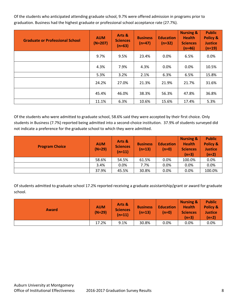Of the students who anticipated attending graduate school, 9.7% were offered admission in programs prior to graduation. Business had the highest graduate or professional school acceptance rate (27.7%).

| <b>Graduate or Professional School</b> | <b>AUM</b><br>$(N=207)$ | Arts &<br><b>Sciences</b><br>$(n=63)$ | <b>Business</b><br>$(n=47)$ | <b>Education</b><br>$(n=32)$ | <b>Nursing &amp;</b><br><b>Health</b><br><b>Sciences</b><br>$(n=46)$ | <b>Public</b><br>Policy &<br><b>Justice</b><br>$(n=19)$ |
|----------------------------------------|-------------------------|---------------------------------------|-----------------------------|------------------------------|----------------------------------------------------------------------|---------------------------------------------------------|
|                                        | 9.7%                    | 9.5%                                  | 23.4%                       | 0.0%                         | 6.5%                                                                 | 0.0%                                                    |
|                                        | 4.3%                    | 7.9%                                  | 4.3%                        | 0.0%                         | 0.0%                                                                 | 10.5%                                                   |
|                                        | 5.3%                    | 3.2%                                  | 2.1%                        | 6.3%                         | 6.5%                                                                 | 15.8%                                                   |
|                                        | 24.2%                   | 27.0%                                 | 21.3%                       | 21.9%                        | 21.7%                                                                | 31.6%                                                   |
|                                        | 45.4%                   | 46.0%                                 | 38.3%                       | 56.3%                        | 47.8%                                                                | 36.8%                                                   |
|                                        | 11.1%                   | 6.3%                                  | 10.6%                       | 15.6%                        | 17.4%                                                                | 5.3%                                                    |

Of the students who were admitted to graduate school, 58.6% said they were accepted by their first choice. Only students in Business (7.7%) reported being admitted into a second-choice institution. 37.9% of students surveyed did not indicate a preference for the graduate school to which they were admitted.

| <b>Program Choice</b> | <b>AUM</b><br>$(N=29)$ | Arts &<br><b>Sciences</b><br>$(n=11)$ | <b>Business</b><br>$(n=13)$ | <b>Education</b><br>$(n=0)$ | <b>Nursing &amp;</b><br><b>Health</b><br><b>Sciences</b><br>$(n=3)$ | <b>Public</b><br>Policy &<br><b>Justice</b><br>$(n=2)$ |
|-----------------------|------------------------|---------------------------------------|-----------------------------|-----------------------------|---------------------------------------------------------------------|--------------------------------------------------------|
|                       | 58.6%                  | 54.5%                                 | 61.5%                       | 0.0%                        | 100.0%                                                              | 0.0%                                                   |
|                       | 3.4%                   | 0.0%                                  | 7.7%                        | 0.0%                        | 0.0%                                                                | 0.0%                                                   |
|                       | 37.9%                  | 45.5%                                 | 30.8%                       | 0.0%                        | 0.0%                                                                | 100.0%                                                 |

Of students admitted to graduate school 17.2% reported receiving a graduate assistantship/grant or award for graduate school.

| <b>Award</b> | <b>AUM</b><br>$(N=29)$ | Arts &<br><b>Sciences</b><br>$(n=11)$ | <b>Business</b><br>$(n=13)$ | <b>Education</b><br>$(n=0)$ | <b>Nursing &amp;</b><br><b>Health</b><br><b>Sciences</b><br>$(n=3)$ | <b>Public</b><br>Policy &<br><b>Justice</b><br>$(n=2)$ |
|--------------|------------------------|---------------------------------------|-----------------------------|-----------------------------|---------------------------------------------------------------------|--------------------------------------------------------|
|              | 17.2%                  | 9.1%                                  | 30.8%                       | 0.0%                        | 0.0%                                                                | 0.0%                                                   |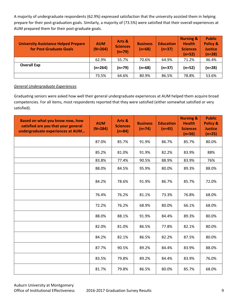A majority of undergraduate respondents (62.9%) expressed satisfaction that the university assisted them in helping prepare for their post-graduation goals. Similarly, a majority of (73.5%) were satisfied that their overall experiences at AUM prepared them for their post-graduate goals.

| <b>University Assistance Helped Prepare</b><br>for Post-Graduate Goals | <b>AUM</b><br>$(N=264)$ | Arts &<br><b>Sciences</b><br>$(n=79)$ | <b>Business</b><br>$(n=68)$ | <b>Education</b><br>$(n=37)$ | <b>Nursing &amp;</b><br><b>Health</b><br><b>Sciences</b><br>$(n=52)$ | <b>Public</b><br>Policy &<br><b>Justice</b><br>$(n=28)$ |
|------------------------------------------------------------------------|-------------------------|---------------------------------------|-----------------------------|------------------------------|----------------------------------------------------------------------|---------------------------------------------------------|
|                                                                        | 62.9%                   | 55.7%                                 | 70.6%                       | 64.9%                        | 71.2%                                                                | 46.4%                                                   |
| <b>Overall Exp</b>                                                     | $(n=264)$               | $(n=79)$                              | $(n=68)$                    | $(n=37)$                     | $(n=52)$                                                             | $(n=28)$                                                |
|                                                                        | 73.5%                   | 64.6%                                 | 80.9%                       | 86.5%                        | 78.8%                                                                | 53.6%                                                   |

#### *General Undergraduate Experiences*

Graduating seniors were asked how well their general undergraduate experiences at AUM helped them acquire broad competencies. For all items, most respondents reported that they were satisfied (either somewhat satisfied or very satisfied).

| Based on what you know now, how<br>satisfied are you that your general<br>undergraduate experiences at AUM | <b>AUM</b><br>$(N \approx 284)$ | Arts &<br><b>Sciences</b><br>$(n \approx 84)$ | <b>Business</b><br>$(n \approx 74)$ | <b>Education</b><br>$(n \approx 45)$ | <b>Nursing &amp;</b><br><b>Health</b><br><b>Sciences</b><br>$(n \approx 56)$ | <b>Public</b><br><b>Policy &amp;</b><br><b>Justice</b><br>$(n \approx 25)$ |
|------------------------------------------------------------------------------------------------------------|---------------------------------|-----------------------------------------------|-------------------------------------|--------------------------------------|------------------------------------------------------------------------------|----------------------------------------------------------------------------|
|                                                                                                            | 87.0%                           | 85.7%                                         | 91.9%                               | 86.7%                                | 85.7%                                                                        | 80.0%                                                                      |
|                                                                                                            | 85.2%                           | 81.0%                                         | 91.9%                               | 82.2%                                | 83.9%                                                                        | 88%                                                                        |
|                                                                                                            | 83.8%                           | 77.4%                                         | 90.5%                               | 88.9%                                | 83.9%                                                                        | 76%                                                                        |
|                                                                                                            | 88.0%                           | 84.5%                                         | 95.9%                               | 80.0%                                | 89.3%                                                                        | 88.0%                                                                      |
|                                                                                                            | 84.2%                           | 78.6%                                         | 91.9%                               | 86.7%                                | 85.7%                                                                        | 72.0%                                                                      |
|                                                                                                            | 76.4%                           | 76.2%                                         | 81.1%                               | 73.3%                                | 76.8%                                                                        | 68.0%                                                                      |
|                                                                                                            | 72.2%                           | 76.2%                                         | 68.9%                               | 80.0%                                | 66.1%                                                                        | 68.0%                                                                      |
|                                                                                                            | 88.0%                           | 88.1%                                         | 91.9%                               | 84.4%                                | 89.3%                                                                        | 80.0%                                                                      |
|                                                                                                            | 82.0%                           | 81.0%                                         | 86.5%                               | 77.8%                                | 82.1%                                                                        | 80.0%                                                                      |
|                                                                                                            | 84.2%                           | 82.1%                                         | 86.5%                               | 82.2%                                | 87.5%                                                                        | 80.0%                                                                      |
|                                                                                                            | 87.7%                           | 90.5%                                         | 89.2%                               | 84.4%                                | 83.9%                                                                        | 88.0%                                                                      |
|                                                                                                            | 83.5%                           | 79.8%                                         | 89.2%                               | 84.4%                                | 83.9%                                                                        | 76.0%                                                                      |
|                                                                                                            | 81.7%                           | 79.8%                                         | 86.5%                               | 80.0%                                | 85.7%                                                                        | 68.0%                                                                      |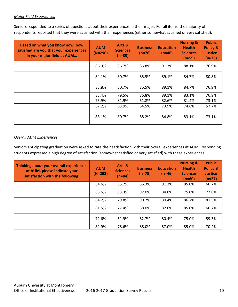#### *Major Field Experiences*

Seniors responded to a series of questions about their experiences in their major. For all items, the majority of respondents reported that they were satisfied with their experiences (either somewhat satisfied or very satisfied).

| Based on what you know now, how<br>satisfied are you that your experiences<br>in your major field at AUM | <b>AUM</b><br>$(N \approx 290)$ | Arts &<br><b>Sciences</b><br>$(n=83)$ | <b>Business</b><br>$(n \approx 76)$ | <b>Education</b><br>$(n \approx 46)$ | <b>Nursing &amp;</b><br><b>Health</b><br><b>Sciences</b><br>$(n \approx 59)$ | <b>Public</b><br><b>Policy &amp;</b><br><b>Justice</b><br>$(n \approx 26)$ |
|----------------------------------------------------------------------------------------------------------|---------------------------------|---------------------------------------|-------------------------------------|--------------------------------------|------------------------------------------------------------------------------|----------------------------------------------------------------------------|
|                                                                                                          | 86.9%                           | 86.7%                                 | 86.8%                               | 91.3%                                | 88.1%                                                                        | 76.9%                                                                      |
|                                                                                                          | 84.1%                           | 80.7%                                 | 85.5%                               | 89.1%                                | 84.7%                                                                        | 80.8%                                                                      |
|                                                                                                          | 83.8%                           | 80.7%                                 | 85.5%                               | 89.1%                                | 84.7%                                                                        | 76.9%                                                                      |
|                                                                                                          | 83.4%                           | 79.5%                                 | 86.8%                               | 89.1%                                | 83.1%                                                                        | 76.9%                                                                      |
|                                                                                                          | 75.9%                           | 81.9%                                 | 61.8%                               | 82.6%                                | 81.4%                                                                        | 73.1%                                                                      |
|                                                                                                          | 67.2%                           | 63.9%                                 | 64.5%                               | 73.9%                                | 74.6%                                                                        | 57.7%                                                                      |
|                                                                                                          | 83.1%                           | 80.7%                                 | 88.2%                               | 84.8%                                | 83.1%                                                                        | 73.1%                                                                      |

#### *Overall AUM Experiences*

Seniors anticipating graduation were asked to rate their satisfaction with their overall experiences at AUM. Responding students expressed a high degree of satisfaction (somewhat satisfied or very satisfied) with these experiences.

| Thinking about your overall experiences<br>at AUM, please indicate your<br>satisfaction with the following: | <b>AUM</b><br>$(N \approx 292)$ | Arts &<br><b>Sciences</b><br>(n≈84) | <b>Business</b><br>$(n \approx 75)$ | <b>Education</b><br>$(n \approx 46)$ | <b>Nursing &amp;</b><br><b>Health</b><br><b>Sciences</b><br>$(n \approx 60)$ | <b>Public</b><br><b>Policy &amp;</b><br><b>Justice</b><br>$(n \approx 27)$ |
|-------------------------------------------------------------------------------------------------------------|---------------------------------|-------------------------------------|-------------------------------------|--------------------------------------|------------------------------------------------------------------------------|----------------------------------------------------------------------------|
|                                                                                                             | 84.6%                           | 85.7%                               | 85.3%                               | 91.3%                                | 85.0%                                                                        | 66.7%                                                                      |
|                                                                                                             | 83.6%                           | 83.3%                               | 92.0%                               | 84.8%                                | 75.0%                                                                        | 77.8%                                                                      |
|                                                                                                             | 84.2%                           | 79.8%                               | 90.7%                               | 80.4%                                | 86.7%                                                                        | 81.5%                                                                      |
|                                                                                                             | 81.5%                           | 77.4%                               | 88.0%                               | 82.6%                                | 85.0%                                                                        | 66.7%                                                                      |
|                                                                                                             | 72.6%                           | 61.9%                               | 82.7%                               | 80.4%                                | 75.0%                                                                        | 59.3%                                                                      |
|                                                                                                             | 82.9%                           | 78.6%                               | 88.0%                               | 87.0%                                | 85.0%                                                                        | 70.4%                                                                      |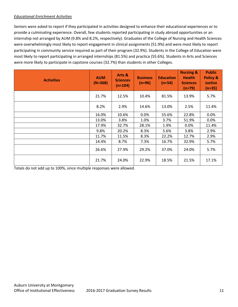#### *Educational Enrichment Activities*

Seniors were asked to report if they participated in activities designed to enhance their educational experiences or to provide a culminating experience. Overall, few students reported participating in study abroad opportunities or an internship not arranged by AUM (9.8% and 8.2%, respectively). Graduates of the College of Nursing and Health Sciences were overwhelmingly most likely to report engagement in clinical assignments (51.9%) and were most likely to report participating in community service required as part of their program (32.9%). Students in the College of Education were most likely to report participating in arranged internships (81.5%) and practica (55.6%). Students in Arts and Sciences were more likely to participate in capstone courses (32.7%) than students in other Colleges.

| <b>Activities</b> | <b>AUM</b><br>$(N=368)$ | Arts &<br><b>Sciences</b><br>$(n=104)$ | <b>Business</b><br>$(n=96)$ | <b>Education</b><br>$(n=54)$ | <b>Nursing &amp;</b><br><b>Health</b><br><b>Sciences</b><br>$(n=79)$ | <b>Public</b><br><b>Policy &amp;</b><br><b>Justice</b><br>$(n=35)$ |
|-------------------|-------------------------|----------------------------------------|-----------------------------|------------------------------|----------------------------------------------------------------------|--------------------------------------------------------------------|
|                   | 21.7%                   | 12.5%                                  | 10.4%                       | 81.5%                        | 13.9%                                                                | 5.7%                                                               |
|                   | 8.2%                    | 2.9%                                   | 14.6%                       | 13.0%                        | 2.5%                                                                 | 11.4%                                                              |
|                   | 16.0%                   | 10.6%                                  | 0.0%                        | 55.6%                        | 22.8%                                                                | 0.0%                                                               |
|                   | 13.0%                   | 3.8%                                   | 1.0%                        | 3.7%                         | 51.9%                                                                | 0.0%                                                               |
|                   | 17.9%                   | 32.7%                                  | 28.1%                       | 1.9%                         | $0.0\%$                                                              | 11.4%                                                              |
|                   | 9.8%                    | 20.2%                                  | 8.3%                        | 5.6%                         | 3.8%                                                                 | 2.9%                                                               |
|                   | 11.7%                   | 11.5%                                  | 8.3%                        | 22.2%                        | 12.7%                                                                | 2.9%                                                               |
|                   | 14.4%                   | 8.7%                                   | 7.3%                        | 16.7%                        | 32.9%                                                                | 5.7%                                                               |
|                   | 26.6%                   | 27.9%                                  | 29.2%                       | 37.0%                        | 24.0%                                                                | 5.7%                                                               |
|                   | 21.7%                   | 24.0%                                  | 22.9%                       | 18.5%                        | 21.5%                                                                | 17.1%                                                              |

Totals do not add up to 100%, since multiple responses were allowed.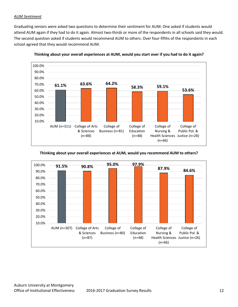#### *AUM Sentiment*

Graduating seniors were asked two questions to determine their sentiment for AUM. One asked if students would attend AUM again if they had to do it again. Almost two-thirds or more of the respondents in all schools said they would. The second question asked if students would recommend AUM to others. Over four-fifths of the respondents in each school agreed that they would recommend AUM.



**Thinking about your overall experiences at AUM, would you start over if you had to do it again?**

**Thinking about your overall experiences at AUM, would you recommend AUM to others?**

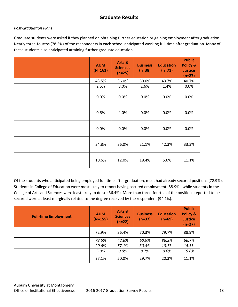## **Graduate Results**

#### *Post-graduation Plans*

Graduate students were asked if they planned on obtaining further education or gaining employment after graduation. Nearly three-fourths (78.3%) of the respondents in each school anticipated working full-time after graduation. Many of these students also anticipated attaining further graduate education.

| <b>AUM</b><br>$(N=161)$ | Arts &<br><b>Sciences</b><br>$(n=25)$ | <b>Business</b><br>$(n=38)$ | <b>Education</b><br>$(n=71)$ | <b>Public</b><br><b>Policy &amp;</b><br><b>Justice</b><br>$(n=27)$ |
|-------------------------|---------------------------------------|-----------------------------|------------------------------|--------------------------------------------------------------------|
| 43.5%                   | 36.0%                                 | 50.0%                       | 43.7%                        | 40.7%                                                              |
| 2.5%                    | 8.0%                                  | 2.6%                        | 1.4%                         | 0.0%                                                               |
| 0.0%                    | 0.0%                                  | 0.0%                        | 0.0%                         | 0.0%                                                               |
| 0.6%                    | 4.0%                                  | 0.0%                        | 0.0%                         | 0.0%                                                               |
| 0.0%                    | 0.0%                                  | 0.0%                        | 0.0%                         | 0.0%                                                               |
| 34.8%                   | 36.0%                                 | 21.1%                       | 42.3%                        | 33.3%                                                              |
| 10.6%                   | 12.0%                                 | 18.4%                       | 5.6%                         | 11.1%                                                              |

Of the students who anticipated being employed full-time after graduation, most had already secured positions (72.9%). Students in College of Education were most likely to report having secured employment (88.9%), while students in the College of Arts and Sciences were least likely to do so (36.4%). More than three-fourths of the positions reported to be secured were at least marginally related to the degree received by the respondent (94.1%).

| <b>Full-time Employment</b> | <b>AUM</b><br>$(N=155)$ | Arts &<br><b>Sciences</b><br>$(n=22)$ | <b>Business</b><br>$(n=37)$ | <b>Education</b><br>$(n=69)$ | <b>Public</b><br><b>Policy &amp;</b><br><b>Justice</b><br>$(n=27)$ |
|-----------------------------|-------------------------|---------------------------------------|-----------------------------|------------------------------|--------------------------------------------------------------------|
|                             | 72.9%                   | 36.4%                                 | 70.3%                       | 79.7%                        | 88.9%                                                              |
|                             | 73.5%                   | 42.6%                                 | 60.9%                       | 86.3%                        | 66.7%                                                              |
|                             | 20.6%                   | 57.1%                                 | 30.4%                       | 13.7%                        | 14.3%                                                              |
|                             | 5.9%                    | 0.0%                                  | 8.7%                        | 0.0%                         | 19.0%                                                              |
|                             | 27.1%                   | 50.0%                                 | 29.7%                       | 20.3%                        | 11.1%                                                              |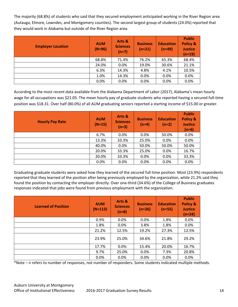The majority (68.8%) of students who said that they secured employment anticipated working in the River Region area (Autauga, Elmore, Lowndes, and Montgomery counties). The second largest group of students (24.0%) reported that they would work in Alabama but outside of the River Region area.

| <b>Employer Location</b> | <b>AUM</b><br>$(N=96)$ | Arts &<br><b>Sciences</b><br>$(n=7)$ | <b>Business</b><br>$(n=21)$ | <b>Education</b><br>$(n=49)$ | <b>Public</b><br><b>Policy &amp;</b><br><b>Justice</b><br>$(n=19)$ |
|--------------------------|------------------------|--------------------------------------|-----------------------------|------------------------------|--------------------------------------------------------------------|
|                          | 68.8%                  | 71.4%                                | 76.2%                       | 65.3%                        | 68.4%                                                              |
|                          | 24.0%                  | 0.0%                                 | 19.0%                       | 30.6%                        | 21.1%                                                              |
|                          | 6.3%                   | 14.3%                                | 4.8%                        | 4.1%                         | 10.5%                                                              |
|                          | 1.0%                   | 14.3%                                | 0.0%                        | 0.0%                         | 0.0%                                                               |
|                          | 0.0%                   | 0.0%                                 | 0.0%                        | 0.0%                         | 0.0%                                                               |

According to the most recent data available from the Alabama Department of Labor (2017), Alabama's mean hourly wage for all occupations was \$21.05. The mean hourly pay of graduate students who reported having a secured full-time position was \$18.31. Over half (80.0%) of all AUM graduating seniors reported a starting income of \$15.00 or greater.

| <b>Hourly Pay Rate</b> | <b>AUM</b><br>$(N=15)$ | Arts &<br><b>Sciences</b><br>$(n=3)$ | <b>Business</b><br>$(n=4)$ | <b>Education</b><br>$(n=2)$ | <b>Public</b><br><b>Policy &amp;</b><br><b>Justice</b><br>$(n=6)$ |
|------------------------|------------------------|--------------------------------------|----------------------------|-----------------------------|-------------------------------------------------------------------|
|                        | 6.7%                   | 0.0%                                 | 0.0%                       | 50.0%                       | 0.0%                                                              |
|                        | 13.3%                  | 33.3%                                | 25.0%                      | 0.0%                        | 0.0%                                                              |
|                        | 40.0%                  | 0.0%                                 | 50.0%                      | 50.0%                       | 50.0%                                                             |
|                        | 20.0%                  | 33.3%                                | 25.0%                      | 0.0%                        | 16.7%                                                             |
|                        | 20.0%                  | 33.3%                                | 0.0%                       | 0.0%                        | 33.3%                                                             |
|                        | 0.0%                   | 0.0%                                 | 0.0%                       | 0.0%                        | 0.0%                                                              |

Graduating graduate students were asked how they learned of the secured full-time position. Most (23.9%) respondents reported that they learned of the position after being previously employed by the organization, while 21.2% said they found the position by contacting the employer directly. Over one-third (34.6%) of the College of Business graduates responses indicated that jobs were found from previous employment with the organization.

| <b>Learned of Position</b> | <b>AUM</b><br>$(N=113)$ | Arts &<br><b>Sciences</b><br>$(n=8)$ | <b>Business</b><br>$(n=26)$ | <b>Education</b><br>$(n=55)$ | <b>Public</b><br><b>Policy &amp;</b><br><b>Justice</b><br>$(n=24)$ |
|----------------------------|-------------------------|--------------------------------------|-----------------------------|------------------------------|--------------------------------------------------------------------|
|                            | 0.9%                    | 0.0%                                 | 0.0%                        | 1.8%                         | 0.0%                                                               |
|                            | 1.8%                    | 0.0%                                 | 3.8%                        | 1.8%                         | 0.0%                                                               |
|                            | 21.2%                   | 12.5%                                | 19.2%                       | 27.3%                        | 12.5%                                                              |
|                            | 23.9%                   | 25.0%                                | 34.6%                       | 21.8%                        | 29.2%                                                              |
|                            | 17.7%                   | 0.0%                                 | 15.4%                       | 20.0%                        | 16.7%                                                              |
|                            | 9.7%                    | 25.0%                                | 0.0%                        | 7.3%                         | 20.8%                                                              |
|                            | 0.0%                    | 0.0%                                 | 0.0%                        | 0.0%                         | 0.0%                                                               |

\*Note – n refers to number of responses, not number of responders. Some students indicated multiple methods.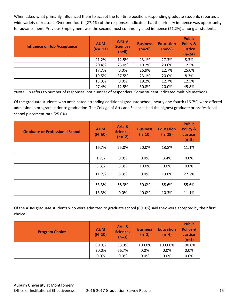When asked what primarily influenced them to accept the full-time position, responding graduate students reported a wide variety of reasons. Over one-fourth (27.4%) of the responses indicated that the primary influence was opportunity for advancement. Previous Employment was the second most commonly cited influence (21.2%) among all students.

| <b>Influence on Job Acceptance</b> | <b>AUM</b><br>$(N=113)$ | Arts &<br><b>Sciences</b><br>$(n=8)$ | <b>Business</b><br>$(n=26)$ | <b>Education</b><br>$(n=55)$ | <b>Public</b><br><b>Policy &amp;</b><br><b>Justice</b><br>$(n=24)$ |
|------------------------------------|-------------------------|--------------------------------------|-----------------------------|------------------------------|--------------------------------------------------------------------|
|                                    | 21.2%                   | 12.5%                                | 23.1%                       | 27.3%                        | 8.3%                                                               |
|                                    | 20.4%                   | 25.0%                                | 19.2%                       | 23.6%                        | 12.5%                                                              |
|                                    | 17.7%                   | 0.0%                                 | 26.9%                       | 12.7%                        | 25.0%                                                              |
|                                    | 19.5%                   | 37.5%                                | 23.1%                       | 20.0%                        | 8.3%                                                               |
|                                    | 13.3%                   | $0.0\%$                              | 19.2%                       | 12.7%                        | 12.5%                                                              |
|                                    | 27.4%                   | 12.5%                                | 30.8%                       | 20.0%                        | 45.8%                                                              |

\*Note – n refers to number of responses, not number of responders. Some student indicated multiple methods.

Of the graduate students who anticipated attending additional graduate school, nearly one-fourth (16.7%) were offered admission in programs prior to graduation. The College of Arts and Sciences had the highest graduate or professional school placement rate (25.0%).

| <b>Graduate or Professional School</b> | <b>AUM</b><br>$(N=60)$ | Arts &<br><b>Sciences</b><br>$(n=12)$ | <b>Business</b><br>$(n=10)$ | <b>Education</b><br>$(n=29)$ | <b>Public</b><br><b>Policy &amp;</b><br><b>Justice</b><br>$(n=9)$ |
|----------------------------------------|------------------------|---------------------------------------|-----------------------------|------------------------------|-------------------------------------------------------------------|
|                                        | 16.7%                  | 25.0%                                 | 20.0%                       | 13.8%                        | 11.1%                                                             |
|                                        | 1.7%                   | 0.0%                                  | 0.0%                        | 3.4%                         | 0.0%                                                              |
|                                        | 3.3%                   | 8.3%                                  | 10.0%                       | 0.0%                         | 0.0%                                                              |
|                                        | 11.7%                  | 8.3%                                  | 0.0%                        | 13.8%                        | 22.2%                                                             |
|                                        | 53.3%                  | 58.3%                                 | 30.0%                       | 58.6%                        | 55.6%                                                             |
|                                        | 13.3%                  | 0.0%                                  | 40.0%                       | 10.3%                        | 11.1%                                                             |

Of the AUM graduate students who were admitted to graduate school (80.0%) said they were accepted by their first choice.

| <b>Program Choice</b> | <b>AUM</b><br>$(N=10)$ | Arts &<br><b>Sciences</b><br>$(n=3)$ | <b>Business</b><br>$(n=2)$ | <b>Education</b><br>$(n=4)$ | <b>Public</b><br>Policy &<br><b>Justice</b><br>$(n=1)$ |
|-----------------------|------------------------|--------------------------------------|----------------------------|-----------------------------|--------------------------------------------------------|
|                       | 80.0%                  | 33.3%                                | 100.0%                     | 100.00%                     | 100.0%                                                 |
|                       | 20.0%                  | 66.7%                                | 0.0%                       | 0.0%                        | 0.0%                                                   |
|                       | 0.0%                   | $0.0\%$                              | 0.0%                       | 0.0%                        | 0.0%                                                   |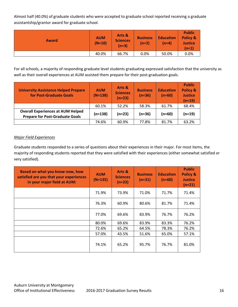Almost half (40.0%) of graduate students who were accepted to graduate school reported receiving a graduate assistantship/grantor award for graduate school.

| <b>Award</b> | <b>AUM</b><br>$(N=10)$ | Arts &<br><b>Sciences</b><br>$(n=3)$ | <b>Business</b><br>$(n=2)$ | <b>Education</b><br>(n=4) | <b>Public</b><br><b>Policy &amp;</b><br><b>Justice</b><br>$(n=1)$ |
|--------------|------------------------|--------------------------------------|----------------------------|---------------------------|-------------------------------------------------------------------|
|              | 40.0%                  | 66.7%                                | 0.0%                       | 50.0%                     | 0.0%                                                              |

For all schools, a majority of responding graduate level students graduating expressed satisfaction that the university as well as their overall experiences at AUM assisted them prepare for their post-graduation goals.

| <b>University Assistance Helped Prepare</b><br>for Post-Graduate Goals             | <b>AUM</b><br>$(N=138)$ | Arts &<br><b>Sciences</b><br>$(n=23)$ | <b>Business</b><br>$(n=36)$ | <b>Education</b><br>$(n=60)$ | <b>Public</b><br><b>Policy &amp;</b><br><b>Justice</b><br>$(n=19)$ |
|------------------------------------------------------------------------------------|-------------------------|---------------------------------------|-----------------------------|------------------------------|--------------------------------------------------------------------|
|                                                                                    | 60.1%                   | 52.2%                                 | 58.3%                       | 61.7%                        | 68.4%                                                              |
| <b>Overall Experiences at AUM Helped</b><br><b>Prepare for Post-Graduate Goals</b> | (n=138)                 | $(n=23)$                              | $(n=36)$                    | $(n=60)$                     | $(n=19)$                                                           |
|                                                                                    | 74.6%                   | 60.9%                                 | 77.8%                       | 81.7%                        | 63.2%                                                              |

#### *Major Field Experiences*

Graduate students responded to a series of questions about their experiences in their major. For most items, the majority of responding students reported that they were satisfied with their experiences (either somewhat satisfied or very satisfied).

| Based on what you know now, how<br>satisfied are you that your experiences<br>in your major field at AUM: | <b>AUM</b><br>$(N \approx 135)$ | Arts &<br><b>Sciences</b><br>$(n \approx 23)$ | <b>Business</b><br>$(n=31)$ | <b>Education</b><br>$(n \approx 60)$ | <b>Public</b><br><b>Policy &amp;</b><br><b>Justice</b><br>$(n=21)$ |
|-----------------------------------------------------------------------------------------------------------|---------------------------------|-----------------------------------------------|-----------------------------|--------------------------------------|--------------------------------------------------------------------|
|                                                                                                           | 71.9%                           | 73.9%                                         | 71.0%                       | 71.7%                                | 71.4%                                                              |
|                                                                                                           | 76.3%                           | 60.9%                                         | 80.6%                       | 81.7%                                | 71.4%                                                              |
|                                                                                                           | 77.0%                           | 69.6%                                         | 83.9%                       | 76.7%                                | 76.2%                                                              |
|                                                                                                           | 80.0%                           | 69.6%                                         | 83.9%                       | 83.3%                                | 76.2%                                                              |
|                                                                                                           | 72.6%                           | 65.2%                                         | 64.5%                       | 78.3%                                | 76.2%                                                              |
|                                                                                                           | 57.0%                           | 43.5%                                         | 51.6%                       | 65.0%                                | 57.1%                                                              |
|                                                                                                           | 74.1%                           | 65.2%                                         | 95.7%                       | 76.7%                                | 81.0%                                                              |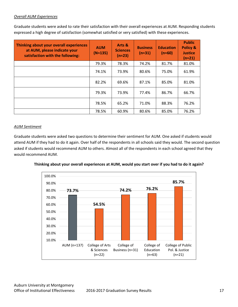#### *Overall AUM Experiences*

Graduate students were asked to rate their satisfaction with their overall experiences at AUM. Responding students expressed a high degree of satisfaction (somewhat satisfied or very satisfied) with these experiences.

| Thinking about your overall experiences<br>at AUM, please indicate your<br>satisfaction with the following: | <b>AUM</b><br>$(N \approx 135)$ | Arts &<br><b>Sciences</b><br>$(n \approx 23)$ | <b>Business</b><br>$(n=31)$ | <b>Education</b><br>$(n \approx 60)$ | <b>Public</b><br>Policy &<br><b>Justice</b><br>$(n=21)$ |
|-------------------------------------------------------------------------------------------------------------|---------------------------------|-----------------------------------------------|-----------------------------|--------------------------------------|---------------------------------------------------------|
|                                                                                                             | 79.3%                           | 78.3%                                         | 74.2%                       | 81.7%                                | 81.0%                                                   |
|                                                                                                             | 74.1%                           | 73.9%                                         | 80.6%                       | 75.0%                                | 61.9%                                                   |
|                                                                                                             | 82.2%                           | 69.6%                                         | 87.1%                       | 85.0%                                | 81.0%                                                   |
|                                                                                                             | 79.3%                           | 73.9%                                         | 77.4%                       | 86.7%                                | 66.7%                                                   |
|                                                                                                             | 78.5%                           | 65.2%                                         | 71.0%                       | 88.3%                                | 76.2%                                                   |
|                                                                                                             | 78.5%                           | 60.9%                                         | 80.6%                       | 85.0%                                | 76.2%                                                   |

#### *AUM Sentiment*

Graduate students were asked two questions to determine their sentiment for AUM. One asked if students would attend AUM if they had to do it again. Over half of the respondents in all schools said they would. The second question asked if students would recommend AUM to others. Almost all of the respondents in each school agreed that they would recommend AUM.



**Thinking about your overall experiences at AUM, would you start over if you had to do it again?**